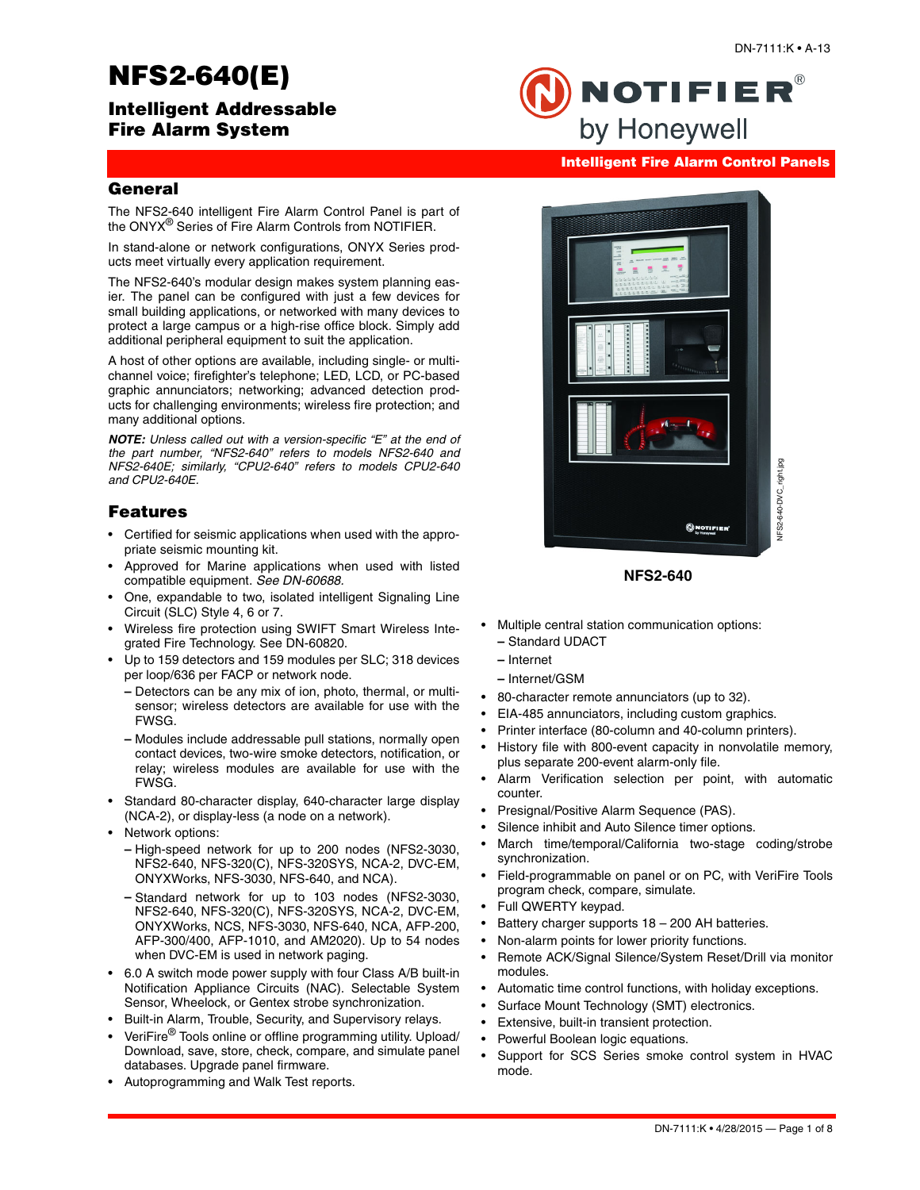# **NFS2-640(E)**

# **Intelligent Addressable Fire Alarm System**



**Intelligent Fire Alarm Control Panels**

**NOTIFIER®** 

by Honeywell

# **General**

The NFS2-640 intelligent Fire Alarm Control Panel is part of the ONYX® Series of Fire Alarm Controls from NOTIFIER.

In stand-alone or network configurations, ONYX Series products meet virtually every application requirement.

The NFS2-640's modular design makes system planning easier. The panel can be configured with just a few devices for small building applications, or networked with many devices to protect a large campus or a high-rise office block. Simply add additional peripheral equipment to suit the application.

A host of other options are available, including single- or multichannel voice; firefighter's telephone; LED, LCD, or PC-based graphic annunciators; networking; advanced detection products for challenging environments; wireless fire protection; and many additional options.

*NOTE: Unless called out with a version-specific "E" at the end of the part number, "NFS2-640" refers to models NFS2-640 and NFS2-640E; similarly, "CPU2-640" refers to models CPU2-640 and CPU2-640E.* 

# **Features**

- Certified for seismic applications when used with the appropriate seismic mounting kit.
- Approved for Marine applications when used with listed compatible equipment. *See DN-60688.*
- One, expandable to two, isolated intelligent Signaling Line Circuit (SLC) Style 4, 6 or 7.
- Wireless fire protection using SWIFT Smart Wireless Integrated Fire Technology. See DN-60820.
- Up to 159 detectors and 159 modules per SLC; 318 devices per loop/636 per FACP or network node.
	- **–** Detectors can be any mix of ion, photo, thermal, or multisensor; wireless detectors are available for use with the FWSG.
	- **–** Modules include addressable pull stations, normally open contact devices, two-wire smoke detectors, notification, or relay; wireless modules are available for use with the FWSG.
- Standard 80-character display, 640-character large display (NCA-2), or display-less (a node on a network).
- Network options:
	- **–** High-speed network for up to 200 nodes (NFS2-3030, NFS2-640, NFS-320(C), NFS-320SYS, NCA-2, DVC-EM, ONYXWorks, NFS-3030, NFS-640, and NCA).
	- **–** Standard network for up to 103 nodes (NFS2-3030, NFS2-640, NFS-320(C), NFS-320SYS, NCA-2, DVC-EM, ONYXWorks, NCS, NFS-3030, NFS-640, NCA, AFP-200, AFP-300/400, AFP-1010, and AM2020). Up to 54 nodes when DVC-EM is used in network paging.
- 6.0 A switch mode power supply with four Class A/B built-in Notification Appliance Circuits (NAC). Selectable System Sensor, Wheelock, or Gentex strobe synchronization.
- Built-in Alarm, Trouble, Security, and Supervisory relays.
- VeriFire® Tools online or offline programming utility. Upload/ Download, save, store, check, compare, and simulate panel databases. Upgrade panel firmware.
- Autoprogramming and Walk Test reports.



**NFS2-640**

- Multiple central station communication options: **–** Standard UDACT
	- **–** Internet
	- **–** Internet/GSM
- 80-character remote annunciators (up to 32).
- EIA-485 annunciators, including custom graphics.
- Printer interface (80-column and 40-column printers).
- History file with 800-event capacity in nonvolatile memory, plus separate 200-event alarm-only file.
- Alarm Verification selection per point, with automatic counter.
- Presignal/Positive Alarm Sequence (PAS).
- Silence inhibit and Auto Silence timer options.
- March time/temporal/California two-stage coding/strobe synchronization.
- Field-programmable on panel or on PC, with VeriFire Tools program check, compare, simulate.
- Full QWERTY keypad.
- Battery charger supports  $18 200$  AH batteries.
- Non-alarm points for lower priority functions.
- Remote ACK/Signal Silence/System Reset/Drill via monitor modules.
- Automatic time control functions, with holiday exceptions.
- Surface Mount Technology (SMT) electronics.
- Extensive, built-in transient protection.
- Powerful Boolean logic equations.
- Support for SCS Series smoke control system in HVAC mode.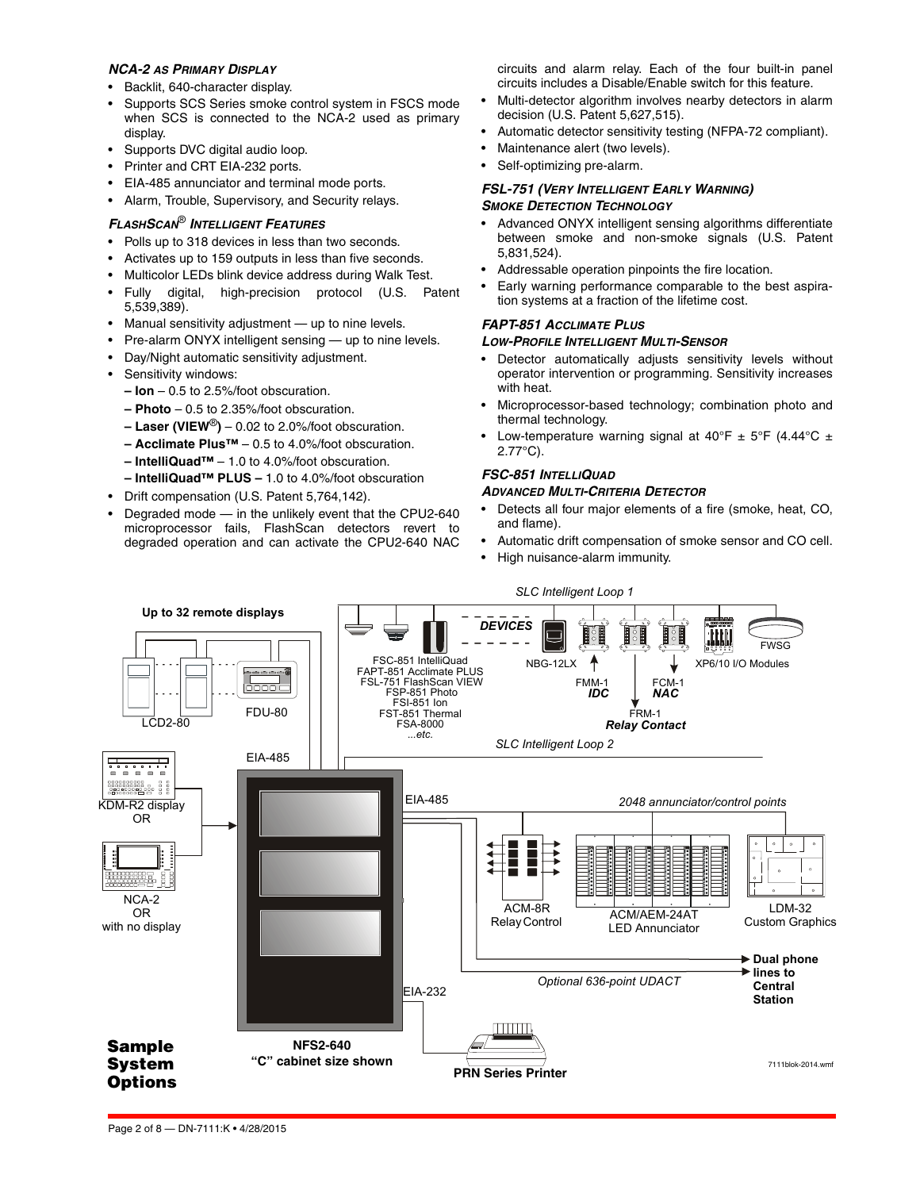### *NCA-2 AS PRIMARY DISPLAY*

- Backlit, 640-character display.
- Supports SCS Series smoke control system in FSCS mode when SCS is connected to the NCA-2 used as primary display.
- Supports DVC digital audio loop.
- Printer and CRT EIA-232 ports.
- EIA-485 annunciator and terminal mode ports.
- Alarm, Trouble, Supervisory, and Security relays.

### *FLASHSCAN*® *INTELLIGENT FEATURES*

- Polls up to 318 devices in less than two seconds.
- Activates up to 159 outputs in less than five seconds.
- Multicolor LEDs blink device address during Walk Test.
- Fully digital, high-precision protocol (U.S. Patent 5,539,389).
- Manual sensitivity adjustment up to nine levels.
- Pre-alarm ONYX intelligent sensing up to nine levels.
- Day/Night automatic sensitivity adjustment.
- Sensitivity windows:
- **Ion** 0.5 to 2.5%/foot obscuration.
- **Photo** 0.5 to 2.35%/foot obscuration.
- **Laser (VIEW**®**)** 0.02 to 2.0%/foot obscuration.
- **Acclimate Plus™** 0.5 to 4.0%/foot obscuration.
- **IntelliQuad™** 1.0 to 4.0%/foot obscuration.
- **IntelliQuad™ PLUS** 1.0 to 4.0%/foot obscuration
- Drift compensation (U.S. Patent 5,764,142).
- Degraded mode in the unlikely event that the CPU2-640 microprocessor fails, FlashScan detectors revert to degraded operation and can activate the CPU2-640 NAC

circuits and alarm relay. Each of the four built-in panel circuits includes a Disable/Enable switch for this feature.

- Multi-detector algorithm involves nearby detectors in alarm decision (U.S. Patent 5,627,515).
- Automatic detector sensitivity testing (NFPA-72 compliant).
- Maintenance alert (two levels).
- Self-optimizing pre-alarm.

### *FSL-751 (VERY INTELLIGENT EARLY WARNING) SMOKE DETECTION TECHNOLOGY*

- Advanced ONYX intelligent sensing algorithms differentiate between smoke and non-smoke signals (U.S. Patent 5,831,524).
- Addressable operation pinpoints the fire location.
- Early warning performance comparable to the best aspiration systems at a fraction of the lifetime cost.

#### *FAPT-851 ACCLIMATE PLUS*

### *LOW-PROFILE INTELLIGENT MULTI-SENSOR*

- Detector automatically adjusts sensitivity levels without operator intervention or programming. Sensitivity increases with heat.
- Microprocessor-based technology; combination photo and thermal technology.
- Low-temperature warning signal at  $40^{\circ}F \pm 5^{\circ}F$  (4.44 $^{\circ}C \pm 5^{\circ}F$ 2.77°C).

# *FSC-851 INTELLIQUAD*

### *ADVANCED MULTI-CRITERIA DETECTOR*

- Detects all four major elements of a fire (smoke, heat, CO, and flame).
- Automatic drift compensation of smoke sensor and CO cell.
- High nuisance-alarm immunity.

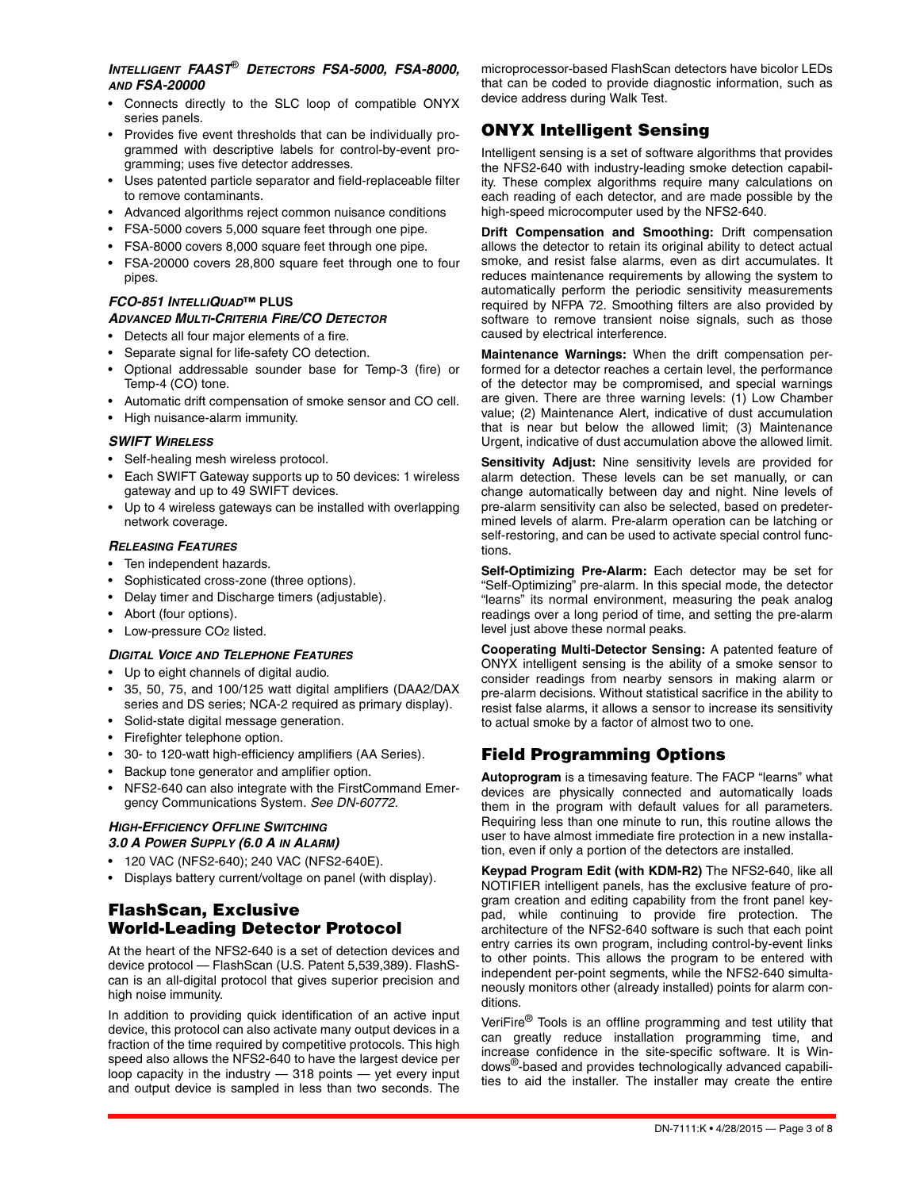# *INTELLIGENT FAAST*® *DETECTORS FSA-5000, FSA-8000, AND FSA-20000*

- Connects directly to the SLC loop of compatible ONYX series panels.
- Provides five event thresholds that can be individually programmed with descriptive labels for control-by-event programming; uses five detector addresses.
- Uses patented particle separator and field-replaceable filter to remove contaminants.
- Advanced algorithms reject common nuisance conditions
- FSA-5000 covers 5,000 square feet through one pipe.
- FSA-8000 covers 8,000 square feet through one pipe.
- FSA-20000 covers 28,800 square feet through one to four pipes.

# *FCO-851 INTELLIQUAD***™ PLUS**

# *ADVANCED MULTI-CRITERIA FIRE/CO DETECTOR*

- Detects all four major elements of a fire.
- Separate signal for life-safety CO detection.
- Optional addressable sounder base for Temp-3 (fire) or Temp-4 (CO) tone.
- Automatic drift compensation of smoke sensor and CO cell.
- High nuisance-alarm immunity.

### *SWIFT WIRELESS*

- Self-healing mesh wireless protocol.
- Each SWIFT Gateway supports up to 50 devices: 1 wireless gateway and up to 49 SWIFT devices.
- Up to 4 wireless gateways can be installed with overlapping network coverage.

### *RELEASING FEATURES*

- Ten independent hazards.
- Sophisticated cross-zone (three options).
- Delay timer and Discharge timers (adjustable).
- Abort (four options).
- Low-pressure CO2 listed.

# *DIGITAL VOICE AND TELEPHONE FEATURES*

- Up to eight channels of digital audio.
- 35, 50, 75, and 100/125 watt digital amplifiers (DAA2/DAX series and DS series; NCA-2 required as primary display).
- Solid-state digital message generation.
- Firefighter telephone option.
- 30- to 120-watt high-efficiency amplifiers (AA Series).
- Backup tone generator and amplifier option.
- NFS2-640 can also integrate with the FirstCommand Emergency Communications System. *See DN-60772.*

# *HIGH-EFFICIENCY OFFLINE SWITCHING 3.0 A POWER SUPPLY (6.0 A IN ALARM)*

- 120 VAC (NFS2-640); 240 VAC (NFS2-640E).
- Displays battery current/voltage on panel (with display).

# **FlashScan, Exclusive World-Leading Detector Protocol**

At the heart of the NFS2-640 is a set of detection devices and device protocol — FlashScan (U.S. Patent 5,539,389). FlashScan is an all-digital protocol that gives superior precision and high noise immunity.

In addition to providing quick identification of an active input device, this protocol can also activate many output devices in a fraction of the time required by competitive protocols. This high speed also allows the NFS2-640 to have the largest device per loop capacity in the industry — 318 points — yet every input and output device is sampled in less than two seconds. The

microprocessor-based FlashScan detectors have bicolor LEDs that can be coded to provide diagnostic information, such as device address during Walk Test.

# **ONYX Intelligent Sensing**

Intelligent sensing is a set of software algorithms that provides the NFS2-640 with industry-leading smoke detection capability. These complex algorithms require many calculations on each reading of each detector, and are made possible by the high-speed microcomputer used by the NFS2-640.

**Drift Compensation and Smoothing:** Drift compensation allows the detector to retain its original ability to detect actual smoke, and resist false alarms, even as dirt accumulates. It reduces maintenance requirements by allowing the system to automatically perform the periodic sensitivity measurements required by NFPA 72. Smoothing filters are also provided by software to remove transient noise signals, such as those caused by electrical interference.

**Maintenance Warnings:** When the drift compensation performed for a detector reaches a certain level, the performance of the detector may be compromised, and special warnings are given. There are three warning levels: (1) Low Chamber value; (2) Maintenance Alert, indicative of dust accumulation that is near but below the allowed limit; (3) Maintenance Urgent, indicative of dust accumulation above the allowed limit.

**Sensitivity Adjust:** Nine sensitivity levels are provided for alarm detection. These levels can be set manually, or can change automatically between day and night. Nine levels of pre-alarm sensitivity can also be selected, based on predetermined levels of alarm. Pre-alarm operation can be latching or self-restoring, and can be used to activate special control functions.

**Self-Optimizing Pre-Alarm:** Each detector may be set for "Self-Optimizing" pre-alarm. In this special mode, the detector "learns" its normal environment, measuring the peak analog readings over a long period of time, and setting the pre-alarm level just above these normal peaks.

**Cooperating Multi-Detector Sensing:** A patented feature of ONYX intelligent sensing is the ability of a smoke sensor to consider readings from nearby sensors in making alarm or pre-alarm decisions. Without statistical sacrifice in the ability to resist false alarms, it allows a sensor to increase its sensitivity to actual smoke by a factor of almost two to one.

# **Field Programming Options**

**Autoprogram** is a timesaving feature. The FACP "learns" what devices are physically connected and automatically loads them in the program with default values for all parameters. Requiring less than one minute to run, this routine allows the user to have almost immediate fire protection in a new installation, even if only a portion of the detectors are installed.

**Keypad Program Edit (with KDM-R2)** The NFS2-640, like all NOTIFIER intelligent panels, has the exclusive feature of program creation and editing capability from the front panel keypad, while continuing to provide fire protection. The architecture of the NFS2-640 software is such that each point entry carries its own program, including control-by-event links to other points. This allows the program to be entered with independent per-point segments, while the NFS2-640 simultaneously monitors other (already installed) points for alarm conditions.

VeriFire® Tools is an offline programming and test utility that can greatly reduce installation programming time, and increase confidence in the site-specific software. It is Windows®-based and provides technologically advanced capabilities to aid the installer. The installer may create the entire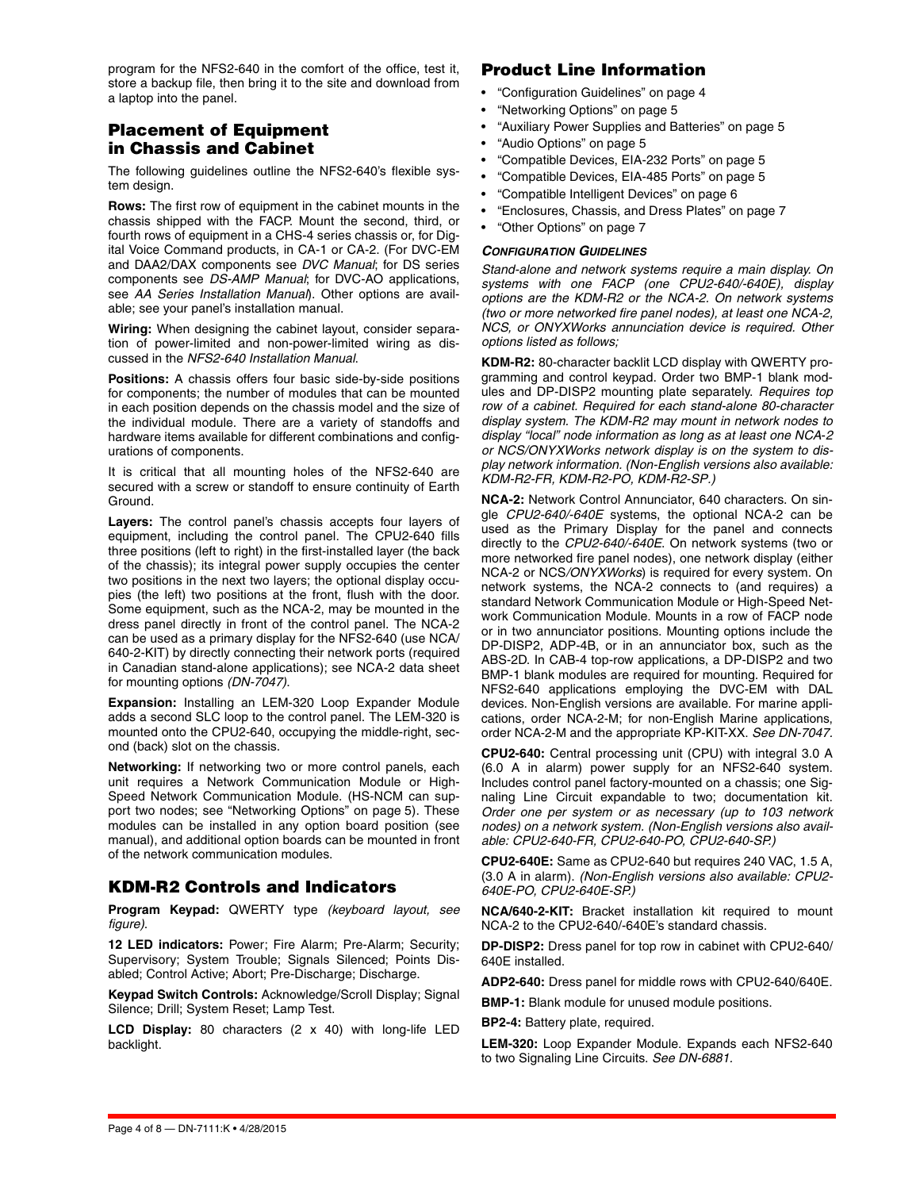program for the NFS2-640 in the comfort of the office, test it, store a backup file, then bring it to the site and download from a laptop into the panel.

# **Placement of Equipment in Chassis and Cabinet**

The following guidelines outline the NFS2-640's flexible system design.

**Rows:** The first row of equipment in the cabinet mounts in the chassis shipped with the FACP. Mount the second, third, or fourth rows of equipment in a CHS-4 series chassis or, for Digital Voice Command products, in CA-1 or CA-2. (For DVC-EM and DAA2/DAX components see *DVC Manual*; for DS series components see *DS-AMP Manual*; for DVC-AO applications, see *AA Series Installation Manual*). Other options are available; see your panel's installation manual.

**Wiring:** When designing the cabinet layout, consider separation of power-limited and non-power-limited wiring as discussed in the *NFS2-640 Installation Manual*.

**Positions:** A chassis offers four basic side-by-side positions for components; the number of modules that can be mounted in each position depends on the chassis model and the size of the individual module. There are a variety of standoffs and hardware items available for different combinations and configurations of components.

It is critical that all mounting holes of the NFS2-640 are secured with a screw or standoff to ensure continuity of Earth Ground.

**Layers:** The control panel's chassis accepts four layers of equipment, including the control panel. The CPU2-640 fills three positions (left to right) in the first-installed layer (the back of the chassis); its integral power supply occupies the center two positions in the next two layers; the optional display occupies (the left) two positions at the front, flush with the door. Some equipment, such as the NCA-2, may be mounted in the dress panel directly in front of the control panel. The NCA-2 can be used as a primary display for the NFS2-640 (use NCA/ 640-2-KIT) by directly connecting their network ports (required in Canadian stand-alone applications); see NCA-2 data sheet for mounting options *(DN-7047)*.

**Expansion:** Installing an LEM-320 Loop Expander Module adds a second SLC loop to the control panel. The LEM-320 is mounted onto the CPU2-640, occupying the middle-right, second (back) slot on the chassis.

**Networking:** If networking two or more control panels, each unit requires a Network Communication Module or High-Speed Network Communication Module. (HS-NCM can support two nodes; see "Networking Options" on page 5). These modules can be installed in any option board position (see manual), and additional option boards can be mounted in front of the network communication modules.

# **KDM-R2 Controls and Indicators**

**Program Keypad:** QWERTY type *(keyboard layout, see figure)*.

**12 LED indicators:** Power; Fire Alarm; Pre-Alarm; Security; Supervisory; System Trouble; Signals Silenced; Points Disabled; Control Active; Abort; Pre-Discharge; Discharge.

**Keypad Switch Controls:** Acknowledge/Scroll Display; Signal Silence; Drill; System Reset; Lamp Test.

**LCD Display:** 80 characters (2 x 40) with long-life LED backlight.

# **Product Line Information**

- "Configuration Guidelines" on page 4
- "Networking Options" on page 5
- "Auxiliary Power Supplies and Batteries" on page 5
- "Audio Options" on page 5
- "Compatible Devices, EIA-232 Ports" on page 5
- "Compatible Devices, EIA-485 Ports" on page 5
- "Compatible Intelligent Devices" on page 6
- "Enclosures, Chassis, and Dress Plates" on page 7
- "Other Options" on page 7

### *CONFIGURATION GUIDELINES*

*Stand-alone and network systems require a main display. On systems with one FACP (one CPU2-640/-640E), display options are the KDM-R2 or the NCA-2. On network systems (two or more networked fire panel nodes), at least one NCA-2, NCS, or ONYXWorks annunciation device is required. Other options listed as follows;* 

**KDM-R2:** 80-character backlit LCD display with QWERTY programming and control keypad. Order two BMP-1 blank modules and DP-DISP2 mounting plate separately. *Requires top row of a cabinet. Required for each stand-alone 80-character display system. The KDM-R2 may mount in network nodes to display "local" node information as long as at least one NCA*-*2 or NCS/ONYXWorks network display is on the system to display network information. (Non-English versions also available: KDM-R2-FR, KDM-R2-PO, KDM-R2-SP.)*

**NCA-2:** Network Control Annunciator, 640 characters. On single *CPU2-640/-640E* systems, the optional NCA-2 can be used as the Primary Display for the panel and connects directly to the *CPU2-640/-640E*. On network systems (two or more networked fire panel nodes), one network display (either NCA-2 or NCS*/ONYXWorks*) is required for every system. On network systems, the NCA-2 connects to (and requires) a standard Network Communication Module or High-Speed Network Communication Module. Mounts in a row of FACP node or in two annunciator positions. Mounting options include the DP-DISP2, ADP-4B, or in an annunciator box, such as the ABS-2D. In CAB-4 top-row applications, a DP-DISP2 and two BMP-1 blank modules are required for mounting. Required for NFS2-640 applications employing the DVC-EM with DAL devices. Non-English versions are available. For marine applications, order NCA-2-M; for non-English Marine applications, order NCA-2-M and the appropriate KP-KIT-XX. *See DN-7047.*

**CPU2-640:** Central processing unit (CPU) with integral 3.0 A (6.0 A in alarm) power supply for an NFS2-640 system. Includes control panel factory-mounted on a chassis; one Signaling Line Circuit expandable to two; documentation kit. *Order one per system or as necessary (up to 103 network nodes) on a network system. (Non-English versions also available: CPU2-640-FR, CPU2-640-PO, CPU2-640-SP.)* 

**CPU2-640E:** Same as CPU2-640 but requires 240 VAC, 1.5 A, (3.0 A in alarm). *(Non-English versions also available: CPU2- 640E-PO, CPU2-640E-SP.)* 

**NCA/640-2-KIT:** Bracket installation kit required to mount NCA-2 to the CPU2-640/-640E's standard chassis.

**DP-DISP2:** Dress panel for top row in cabinet with CPU2-640/ 640E installed.

**ADP2-640:** Dress panel for middle rows with CPU2-640/640E.

**BMP-1:** Blank module for unused module positions.

**BP2-4:** Battery plate, required.

**LEM-320:** Loop Expander Module. Expands each NFS2-640 to two Signaling Line Circuits. *See DN-6881.*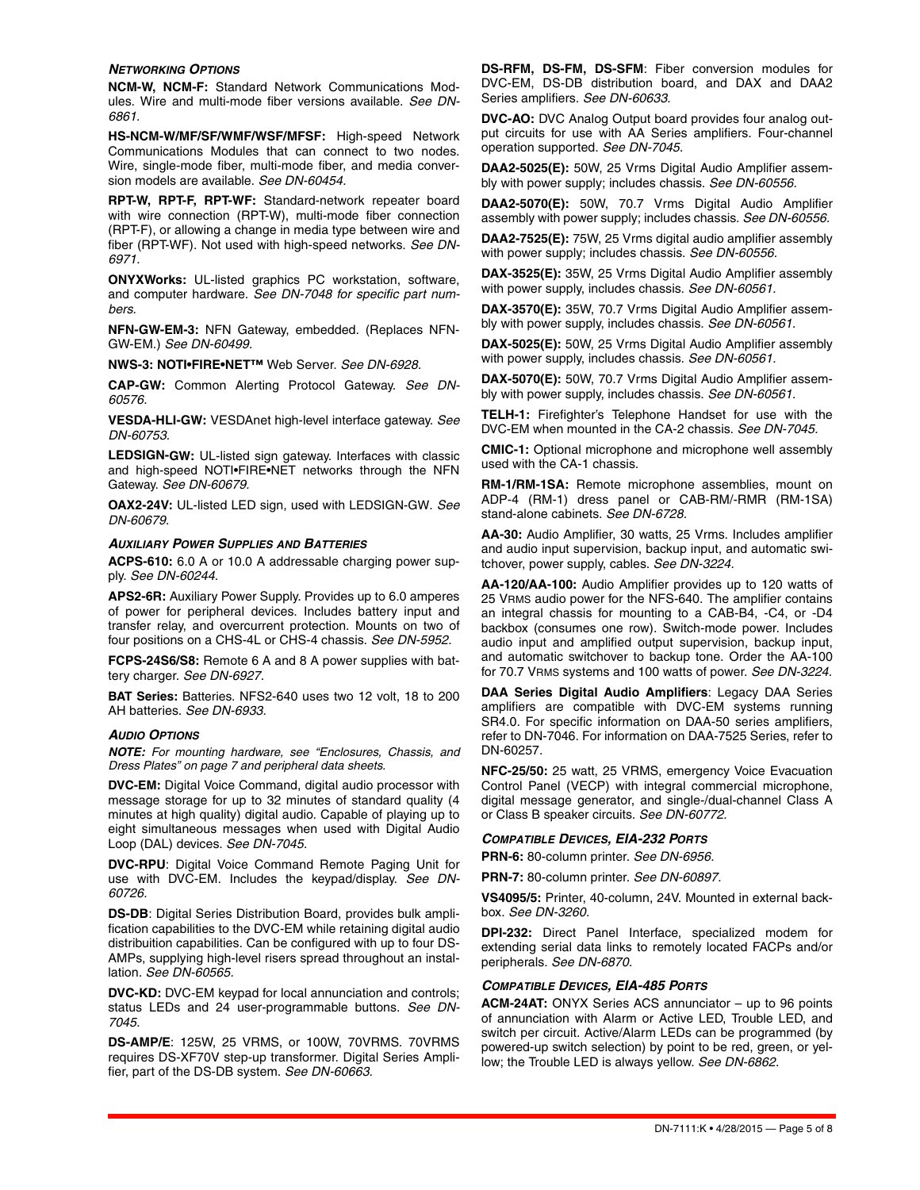#### *NETWORKING OPTIONS*

**NCM-W, NCM-F:** Standard Network Communications Modules. Wire and multi-mode fiber versions available. *See DN-6861*.

**HS-NCM-W/MF/SF/WMF/WSF/MFSF:** High-speed Network Communications Modules that can connect to two nodes. Wire, single-mode fiber, multi-mode fiber, and media conversion models are available. *See DN-60454.*

**RPT-W, RPT-F, RPT-WF:** Standard-network repeater board with wire connection (RPT-W), multi-mode fiber connection (RPT-F), or allowing a change in media type between wire and fiber (RPT-WF). Not used with high-speed networks. *See DN-6971.* 

**ONYXWorks:** UL-listed graphics PC workstation, software, and computer hardware. *See DN-7048 for specific part numbers.*

**NFN-GW-EM-3:** NFN Gateway, embedded. (Replaces NFN-GW-EM.) *See DN-60499.* 

**NWS-3: NOTI•FIRE•NET™** Web Server. *See DN-6928.*

**CAP-GW:** Common Alerting Protocol Gateway. *See DN-60576.* 

**VESDA-HLI-GW:** VESDAnet high-level interface gateway. *See DN-60753.*

**LEDSIGN-GW:** UL-listed sign gateway. Interfaces with classic and high-speed NOTI•FIRE•NET networks through the NFN Gateway. *See DN-60679.* 

**OAX2-24V:** UL-listed LED sign, used with LEDSIGN-GW. *See DN-60679.* 

#### *AUXILIARY POWER SUPPLIES AND BATTERIES*

**ACPS-610:** 6.0 A or 10.0 A addressable charging power supply. *See DN-60244.*

**APS2-6R:** Auxiliary Power Supply. Provides up to 6.0 amperes of power for peripheral devices. Includes battery input and transfer relay, and overcurrent protection. Mounts on two of four positions on a CHS-4L or CHS-4 chassis. *See DN-5952.* 

**FCPS-24S6/S8:** Remote 6 A and 8 A power supplies with battery charger. *See DN-6927.* 

**BAT Series:** Batteries. NFS2-640 uses two 12 volt, 18 to 200 AH batteries. *See DN-6933.* 

#### *AUDIO OPTIONS*

*NOTE: For mounting hardware, see "Enclosures, Chassis, and Dress Plates" on page 7 and peripheral data sheets.* 

**DVC-EM:** Digital Voice Command, digital audio processor with message storage for up to 32 minutes of standard quality (4 minutes at high quality) digital audio. Capable of playing up to eight simultaneous messages when used with Digital Audio Loop (DAL) devices. *See DN-7045.*

**DVC-RPU**: Digital Voice Command Remote Paging Unit for use with DVC-EM. Includes the keypad/display. *See DN-60726.* 

**DS-DB**: Digital Series Distribution Board, provides bulk amplification capabilities to the DVC-EM while retaining digital audio distribuition capabilities. Can be configured with up to four DS-AMPs, supplying high-level risers spread throughout an installation. *See DN-60565.*

**DVC-KD:** DVC-EM keypad for local annunciation and controls; status LEDs and 24 user-programmable buttons. *See DN-7045.*

**DS-AMP/E**: 125W, 25 VRMS, or 100W, 70VRMS. 70VRMS requires DS-XF70V step-up transformer. Digital Series Amplifier, part of the DS-DB system. *See DN-60663.*

**DS-RFM, DS-FM, DS-SFM**: Fiber conversion modules for DVC-EM, DS-DB distribution board, and DAX and DAA2 Series amplifiers. *See DN-60633.*

**DVC-AO:** DVC Analog Output board provides four analog output circuits for use with AA Series amplifiers. Four-channel operation supported. *See DN-7045.*

**DAA2-5025(E):** 50W, 25 Vrms Digital Audio Amplifier assembly with power supply; includes chassis. *See DN-60556.*

**DAA2-5070(E):** 50W, 70.7 Vrms Digital Audio Amplifier assembly with power supply; includes chassis. *See DN-60556.* 

**DAA2-7525(E):** 75W, 25 Vrms digital audio amplifier assembly with power supply; includes chassis. *See DN-60556.* 

**DAX-3525(E):** 35W, 25 Vrms Digital Audio Amplifier assembly with power supply, includes chassis. *See DN-60561.* 

**DAX-3570(E):** 35W, 70.7 Vrms Digital Audio Amplifier assembly with power supply, includes chassis. *See DN-60561.* 

**DAX-5025(E):** 50W, 25 Vrms Digital Audio Amplifier assembly with power supply, includes chassis. *See DN-60561.* 

**DAX-5070(E):** 50W, 70.7 Vrms Digital Audio Amplifier assembly with power supply, includes chassis. *See DN-60561.* 

**TELH-1:** Firefighter's Telephone Handset for use with the DVC-EM when mounted in the CA-2 chassis. *See DN-7045.*

**CMIC-1:** Optional microphone and microphone well assembly used with the CA-1 chassis.

**RM-1/RM-1SA:** Remote microphone assemblies, mount on ADP-4 (RM-1) dress panel or CAB-RM/-RMR (RM-1SA) stand-alone cabinets. *See DN-6728.* 

**AA-30:** Audio Amplifier, 30 watts, 25 Vrms. Includes amplifier and audio input supervision, backup input, and automatic switchover, power supply, cables. *See DN-3224.*

**AA-120/AA-100:** Audio Amplifier provides up to 120 watts of 25 VRMS audio power for the NFS-640. The amplifier contains an integral chassis for mounting to a CAB-B4, -C4, or -D4 backbox (consumes one row). Switch-mode power. Includes audio input and amplified output supervision, backup input, and automatic switchover to backup tone. Order the AA-100 for 70.7 VRMS systems and 100 watts of power. *See DN-3224.*

**DAA Series Digital Audio Amplifiers**: Legacy DAA Series amplifiers are compatible with DVC-EM systems running SR4.0. For specific information on DAA-50 series amplifiers, refer to DN-7046. For information on DAA-7525 Series, refer to DN-60257.

**NFC-25/50:** 25 watt, 25 VRMS, emergency Voice Evacuation Control Panel (VECP) with integral commercial microphone, digital message generator, and single-/dual-channel Class A or Class B speaker circuits. *See DN-60772.*

#### *COMPATIBLE DEVICES, EIA-232 PORTS*

**PRN-6:** 80-column printer. *See DN-6956.* 

**PRN-7:** 80-column printer. *See DN-60897.* 

**VS4095/5:** Printer, 40-column, 24V. Mounted in external backbox. *See DN-3260.* 

**DPI-232:** Direct Panel Interface, specialized modem for extending serial data links to remotely located FACPs and/or peripherals. *See DN-6870.* 

#### *COMPATIBLE DEVICES, EIA-485 PORTS*

**ACM-24AT:** ONYX Series ACS annunciator – up to 96 points of annunciation with Alarm or Active LED, Trouble LED, and switch per circuit. Active/Alarm LEDs can be programmed (by powered-up switch selection) by point to be red, green, or yellow; the Trouble LED is always yellow. *See DN-6862.*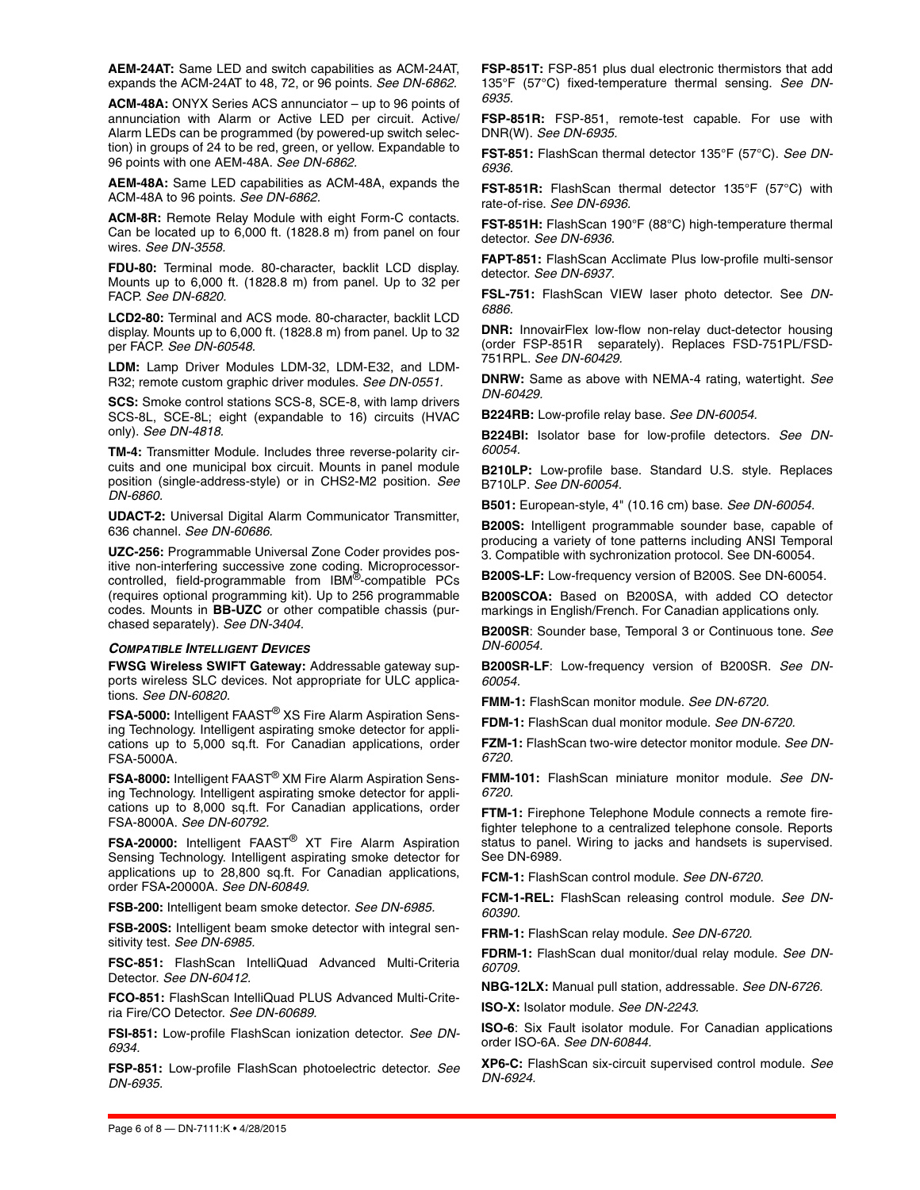**AEM-24AT:** Same LED and switch capabilities as ACM-24AT, expands the ACM-24AT to 48, 72, or 96 points. *See DN-6862.*

**ACM-48A:** ONYX Series ACS annunciator – up to 96 points of annunciation with Alarm or Active LED per circuit. Active/ Alarm LEDs can be programmed (by powered-up switch selection) in groups of 24 to be red, green, or yellow. Expandable to 96 points with one AEM-48A. *See DN-6862.*

**AEM-48A:** Same LED capabilities as ACM-48A, expands the ACM-48A to 96 points. *See DN-6862.*

**ACM-8R:** Remote Relay Module with eight Form-C contacts. Can be located up to 6,000 ft. (1828.8 m) from panel on four wires. *See DN-3558.* 

**FDU-80:** Terminal mode. 80-character, backlit LCD display. Mounts up to 6,000 ft. (1828.8 m) from panel. Up to 32 per FACP. *See DN-6820.* 

**LCD2-80:** Terminal and ACS mode. 80-character, backlit LCD display. Mounts up to 6,000 ft. (1828.8 m) from panel. Up to 32 per FACP. *See DN-60548.*

**LDM:** Lamp Driver Modules LDM-32, LDM-E32, and LDM-R32; remote custom graphic driver modules. *See DN-0551.*

**SCS:** Smoke control stations SCS-8, SCE-8, with lamp drivers SCS-8L, SCE-8L; eight (expandable to 16) circuits (HVAC only). *See DN-4818.*

**TM-4:** Transmitter Module. Includes three reverse-polarity circuits and one municipal box circuit. Mounts in panel module position (single-address-style) or in CHS2-M2 position. *See DN-6860.* 

**UDACT-2:** Universal Digital Alarm Communicator Transmitter, 636 channel. *See DN-60686.* 

**UZC-256:** Programmable Universal Zone Coder provides positive non-interfering successive zone coding. Microprocessorcontrolled, field-programmable from IBM®-compatible PCs (requires optional programming kit). Up to 256 programmable codes. Mounts in **BB-UZC** or other compatible chassis (purchased separately). *See DN-3404.*

### *COMPATIBLE INTELLIGENT DEVICES*

**FWSG Wireless SWIFT Gateway:** Addressable gateway supports wireless SLC devices. Not appropriate for ULC applications. *See DN-60820.* 

**FSA-5000:** Intelligent FAAST® XS Fire Alarm Aspiration Sensing Technology. Intelligent aspirating smoke detector for applications up to 5,000 sq.ft. For Canadian applications, order FSA-5000A.

**FSA-8000:** Intelligent FAAST® XM Fire Alarm Aspiration Sensing Technology. Intelligent aspirating smoke detector for applications up to 8,000 sq.ft. For Canadian applications, order FSA-8000A. *See DN-60792.* 

**FSA-20000:** Intelligent FAAST® XT Fire Alarm Aspiration Sensing Technology. Intelligent aspirating smoke detector for applications up to 28,800 sq.ft. For Canadian applications, order FSA**-**20000A. *See DN-60849.* 

**FSB-200:** Intelligent beam smoke detector. *See DN-6985.*

**FSB-200S:** Intelligent beam smoke detector with integral sensitivity test. *See DN-6985.*

**FSC-851:** FlashScan IntelliQuad Advanced Multi-Criteria Detector. *See DN-60412.* 

**FCO-851:** FlashScan IntelliQuad PLUS Advanced Multi-Criteria Fire/CO Detector. *See DN-60689.* 

**FSI-851:** Low-profile FlashScan ionization detector. *See DN-6934.* 

**FSP-851:** Low-profile FlashScan photoelectric detector. *See DN-6935.*

**FSP-851T:** FSP-851 plus dual electronic thermistors that add 135°F (57°C) fixed-temperature thermal sensing. *See DN-6935.*

**FSP-851R:** FSP-851, remote-test capable. For use with DNR(W). *See DN-6935.*

**FST-851:** FlashScan thermal detector 135°F (57°C). *See DN-6936.*

**FST-851R:** FlashScan thermal detector 135°F (57°C) with rate-of-rise. *See DN-6936.*

**FST-851H:** FlashScan 190°F (88°C) high-temperature thermal detector. *See DN-6936.* 

**FAPT-851:** FlashScan Acclimate Plus low-profile multi-sensor detector. *See DN-6937.*

**FSL-751:** FlashScan VIEW laser photo detector. See *DN-6886.*

**DNR:** InnovairFlex low-flow non-relay duct-detector housing (order FSP-851R separately). Replaces FSD-751PL/FSD-751RPL. *See DN-60429.* 

**DNRW:** Same as above with NEMA-4 rating, watertight. *See DN-60429.* 

**B224RB:** Low-profile relay base. *See DN-60054.* 

**B224BI:** Isolator base for low-profile detectors. *See DN-60054.* 

**B210LP:** Low-profile base. Standard U.S. style. Replaces B710LP. *See DN-60054.* 

**B501:** European-style, 4" (10.16 cm) base. *See DN-60054.* 

**B200S:** Intelligent programmable sounder base, capable of producing a variety of tone patterns including ANSI Temporal 3. Compatible with sychronization protocol. See DN-60054.

**B200S-LF:** Low-frequency version of B200S. See DN-60054.

**B200SCOA:** Based on B200SA, with added CO detector markings in English/French. For Canadian applications only.

**B200SR**: Sounder base, Temporal 3 or Continuous tone. *See DN-60054.* 

**B200SR-LF**: Low-frequency version of B200SR. *See DN-60054.* 

**FMM-1:** FlashScan monitor module. *See DN-6720.*

**FDM-1:** FlashScan dual monitor module. *See DN-6720.*

**FZM-1:** FlashScan two-wire detector monitor module. *See DN-6720.*

**FMM-101:** FlashScan miniature monitor module. *See DN-6720.*

**FTM-1:** Firephone Telephone Module connects a remote firefighter telephone to a centralized telephone console. Reports status to panel. Wiring to jacks and handsets is supervised. See DN-6989.

**FCM-1:** FlashScan control module. *See DN-6720.*

**FCM-1-REL:** FlashScan releasing control module. *See DN-60390.*

**FRM-1:** FlashScan relay module. *See DN-6720.*

**FDRM-1:** FlashScan dual monitor/dual relay module. *See DN-60709.*

**NBG-12LX:** Manual pull station, addressable. *See DN-6726.*

**ISO-X:** Isolator module. *See DN-2243.*

**ISO-6**: Six Fault isolator module. For Canadian applications order ISO-6A. *See DN-60844.* 

**XP6-C:** FlashScan six-circuit supervised control module. *See DN-6924.*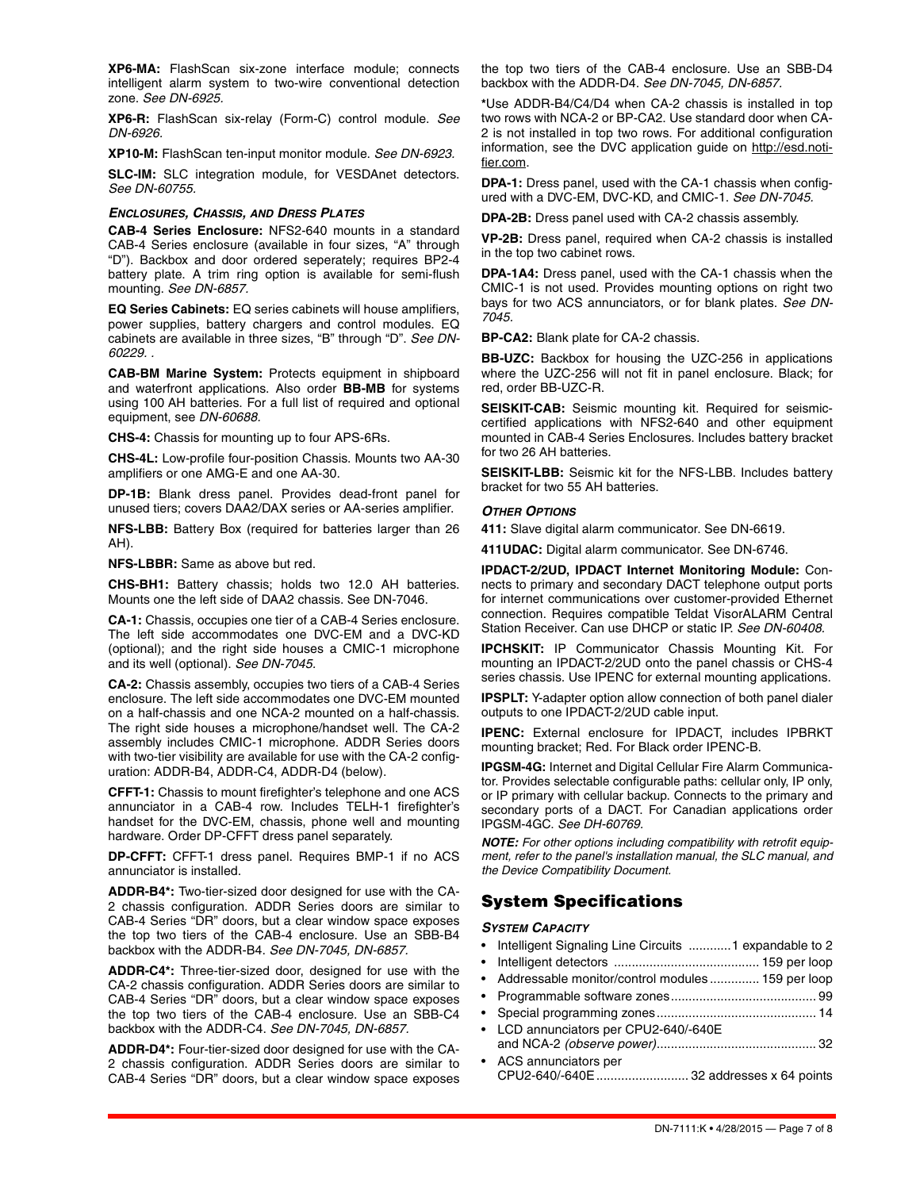**XP6-MA:** FlashScan six-zone interface module; connects intelligent alarm system to two-wire conventional detection zone. *See DN-6925.* 

**XP6-R:** FlashScan six-relay (Form-C) control module. *See DN-6926.* 

**XP10-M:** FlashScan ten-input monitor module. *See DN-6923.* 

**SLC-IM:** SLC integration module, for VESDAnet detectors. *See DN-60755.* 

#### *ENCLOSURES, CHASSIS, AND DRESS PLATES*

**CAB-4 Series Enclosure:** NFS2-640 mounts in a standard CAB-4 Series enclosure (available in four sizes, "A" through "D"). Backbox and door ordered seperately; requires BP2-4 battery plate. A trim ring option is available for semi-flush mounting. *See DN-6857.*

**EQ Series Cabinets:** EQ series cabinets will house amplifiers, power supplies, battery chargers and control modules. EQ cabinets are available in three sizes, "B" through "D". *See DN-60229. .* 

**CAB-BM Marine System:** Protects equipment in shipboard and waterfront applications. Also order **BB-MB** for systems using 100 AH batteries. For a full list of required and optional equipment, see *DN-60688.* 

**CHS-4:** Chassis for mounting up to four APS-6Rs.

**CHS-4L:** Low-profile four-position Chassis. Mounts two AA-30 amplifiers or one AMG-E and one AA-30.

**DP-1B:** Blank dress panel. Provides dead-front panel for unused tiers; covers DAA2/DAX series or AA-series amplifier.

**NFS-LBB:** Battery Box (required for batteries larger than 26 AH).

**NFS-LBBR:** Same as above but red.

**CHS-BH1:** Battery chassis; holds two 12.0 AH batteries. Mounts one the left side of DAA2 chassis. See DN-7046.

**CA-1:** Chassis, occupies one tier of a CAB-4 Series enclosure. The left side accommodates one DVC-EM and a DVC-KD (optional); and the right side houses a CMIC-1 microphone and its well (optional). *See DN-7045.*

**CA-2:** Chassis assembly, occupies two tiers of a CAB-4 Series enclosure. The left side accommodates one DVC-EM mounted on a half-chassis and one NCA-2 mounted on a half-chassis. The right side houses a microphone/handset well. The CA-2 assembly includes CMIC-1 microphone. ADDR Series doors with two-tier visibility are available for use with the CA-2 configuration: ADDR-B4, ADDR-C4, ADDR-D4 (below).

**CFFT-1:** Chassis to mount firefighter's telephone and one ACS annunciator in a CAB-4 row. Includes TELH-1 firefighter's handset for the DVC-EM, chassis, phone well and mounting hardware. Order DP-CFFT dress panel separately.

**DP-CFFT:** CFFT-1 dress panel. Requires BMP-1 if no ACS annunciator is installed.

**ADDR-B[4\\*:](#page-6-0)** Two-tier-sized door designed for use with the CA-2 chassis configuration. ADDR Series doors are similar to CAB-4 Series "DR" doors, but a clear window space exposes the top two tiers of the CAB-4 enclosure. Use an SBB-B4 backbox with the ADDR-B4. *See DN-7045, DN-6857.* 

**ADDR-C[4\\*:](#page-6-0)** Three-tier-sized door, designed for use with the CA-2 chassis configuration. ADDR Series doors are similar to CAB-4 Series "DR" doors, but a clear window space exposes the top two tiers of the CAB-4 enclosure. Use an SBB-C4 backbox with the ADDR-C4. *See DN-7045, DN-6857.* 

**ADDR-D[4\\*:](#page-6-0)** Four-tier-sized door designed for use with the CA-2 chassis configuration. ADDR Series doors are similar to CAB-4 Series "DR" doors, but a clear window space exposes the top two tiers of the CAB-4 enclosure. Use an SBB-D4 backbox with the ADDR-D4. *See DN-7045, DN-6857.* 

<span id="page-6-0"></span>**\***Use ADDR-B4/C4/D4 when CA-2 chassis is installed in top two rows with NCA-2 or BP-CA2. Use standard door when CA-2 is not installed in top two rows. For additional configuration information, see the DVC application guide on http://esd.notifier.com.

**DPA-1:** Dress panel, used with the CA-1 chassis when configured with a DVC-EM, DVC-KD, and CMIC-1. *See DN-7045.* 

**DPA-2B:** Dress panel used with CA-2 chassis assembly.

**VP-2B:** Dress panel, required when CA-2 chassis is installed in the top two cabinet rows.

**DPA-1A4:** Dress panel, used with the CA-1 chassis when the CMIC-1 is not used. Provides mounting options on right two bays for two ACS annunciators, or for blank plates. *See DN-7045.* 

**BP-CA2:** Blank plate for CA-2 chassis.

**BB-UZC:** Backbox for housing the UZC-256 in applications where the UZC-256 will not fit in panel enclosure. Black; for red, order BB-UZC-R.

**SEISKIT-CAB:** Seismic mounting kit. Required for seismiccertified applications with NFS2-640 and other equipment mounted in CAB-4 Series Enclosures. Includes battery bracket for two 26 AH batteries.

**SEISKIT-LBB:** Seismic kit for the NFS-LBB. Includes battery bracket for two 55 AH batteries.

### *OTHER OPTIONS*

**411:** Slave digital alarm communicator. See DN-6619.

**411UDAC:** Digital alarm communicator. See DN-6746.

**IPDACT-2/2UD, IPDACT Internet Monitoring Module:** Connects to primary and secondary DACT telephone output ports for internet communications over customer-provided Ethernet connection. Requires compatible Teldat VisorALARM Central Station Receiver. Can use DHCP or static IP. *See DN-60408.*

**IPCHSKIT:** IP Communicator Chassis Mounting Kit. For mounting an IPDACT-2/2UD onto the panel chassis or CHS-4 series chassis. Use IPENC for external mounting applications.

**IPSPLT:** Y-adapter option allow connection of both panel dialer outputs to one IPDACT-2/2UD cable input.

**IPENC:** External enclosure for IPDACT, includes IPBRKT mounting bracket; Red. For Black order IPENC-B.

**IPGSM-4G:** Internet and Digital Cellular Fire Alarm Communicator. Provides selectable configurable paths: cellular only, IP only, or IP primary with cellular backup. Connects to the primary and secondary ports of a DACT. For Canadian applications order IPGSM-4GC. *See DH-60769.* 

*NOTE: For other options including compatibility with retrofit equipment, refer to the panel's installation manual, the SLC manual, and the Device Compatibility Document.* 

# **System Specifications**

#### *SYSTEM CAPACITY*

- Intelligent Signaling Line Circuits ............1 expandable to 2
- Intelligent detectors ......................................... 159 per loop
- Addressable monitor/control modules .............. 159 per loop
- Programmable software zones......................................... 99
- Special programming zones............................................. 14
- LCD annunciators per CPU2-640/-640E and NCA-2 *(observe power)*............................................. 32 • ACS annunciators per
- CPU2-640/-640E.......................... 32 addresses x 64 points